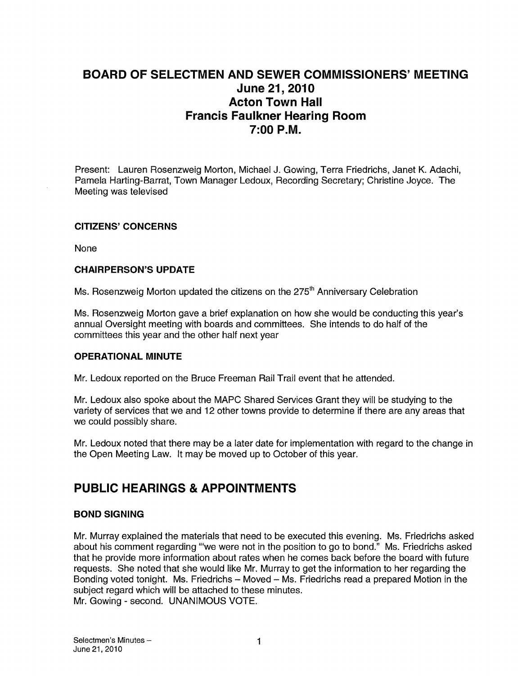## BOARD OF SELECTMEN AND SEWER COMMISSIONERS' MEETING June 21, 2010 Acton Town Hall Francis Faulkner Hearing Room 7:00 P.M.

Present: Lauren Rosenzweig Morton, Michael J. Gowing, Terra Friedrichs, Janet K. Adachi, Pamela Harting-Barrat, Town Manager Ledoux, Recording Secretary; Christine Joyce. The Meeting was televised

#### CITIZENS' CONCERNS

None

#### CHAIRPERSON'S UPDATE

Ms. Rosenzweig Morton updated the citizens on the  $275<sup>th</sup>$  Anniversary Celebration

Ms. Rosenzweig Morton gave a brief explanation on how she would be conducting this year's annual Oversight meeting with boards and committees. She intends to do half of the committees this year and the other half next year

#### OPERATIONAL MINUTE

Mr. Ledoux reported on the Bruce Freeman Rail Trail event that he attended.

Mr. Ledoux also spoke about the MAPC Shared Services Grant they will be studying to the variety of services that we and 12 other towns provide to determine if there are any areas that we could possibly share.

Mr. Ledoux noted that there may be a later date for implementation with regard to the change in the Open Meeting Law. It may be moved up to October of this year.

## PUBLIC HEARINGS & APPOINTMENTS

#### BOND SIGNING

Mr. Murray explained the materials that need to be executed this evening. Ms. Friedrichs asked about his comment regarding '"we were not in the position to go to bond." Ms. Friedrichs asked that he provide more information about rates when he comes back before the board with future requests. She noted that she would like Mr. Murray to get the information to her regarding the Bonding voted tonight. Ms. Friedrichs — Moved — Ms. Friedrichs read a prepared Motion in the subject regard which will be attached to these minutes. Mr. Gowing - second. UNANIMOUS VOTE.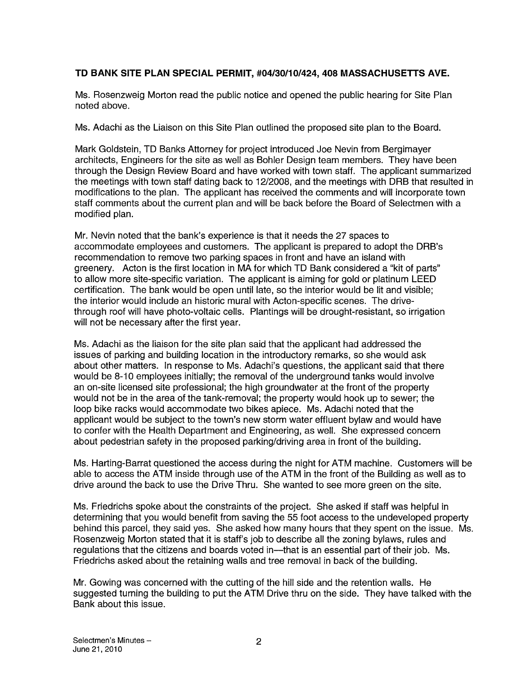#### TD BANK SITE PLAN SPECIAL PERMIT, #04/30/1 0/424, 408 MASSACHUSETTS AVE.

Ms. Rosenzweig Morton read the public notice and opened the public hearing for Site Plan noted above.

Ms. Adachi as the Liaison on this Site Plan outlined the proposed site plan to the Board.

Mark Goldstein, TD Banks Attorney for project introduced Joe Nevin from Bergimayer architects, Engineers for the site as well as Bohler Design team members. They have been through the Design Review Board and have worked with town staff. The applicant summarized the meetings with town staff dating back to 12/2008, and the meetings with DRB that resulted in modifications to the plan. The applicant has received the comments and will incorporate town staff comments about the current plan and will be back before the Board of Selectmen with a modified plan.

Mr. Nevin noted that the bank's experience is that it needs the 27 spaces to accommodate employees and customers. The applicant is prepared to adopt the DRB's recommendation to remove two parking spaces in front and have an island with greenery. Acton is the first location in MA for which TD Bank considered a "kit of parts" to allow more site-specific variation. The applicant is aiming for gold or platinum LEED certification. The bank would be open until late, so the interior would be lit and visible; the interior would include an historic mural with Acton-specific scenes. The drivethrough root will have photo-voltaic cells. Plantings will be drought-resistant, so irrigation will not be necessary after the first year.

Ms. Adachi as the liaison for the site plan said that the applicant had addressed the issues of parking and building location in the introductory remarks, so she would ask about other matters. In response to Ms. Adachi's questions, the applicant said that there would be 8-10 employees initially; the removal of the underground tanks would involve an on-site licensed site professional; the high groundwater at the front of the property would not be in the area of the tank-removal; the property would hook up to sewer; the loop bike racks would accommodate two bikes apiece. Ms. Adachi noted that the applicant would be subject to the town's new storm water effluent bylaw and would have to confer with the Health Department and Engineering, as well. She expressed concern about pedestrian safety in the proposed parking/driving area in front of the building.

Ms. Harting-Barrat questioned the access during the night for ATM machine. Customers will be able to access the ATM inside through use of the ATM in the front of the Building as well as to drive around the back to use the Drive Thru. She wanted to see more green on the site.

Ms. Friedrichs spoke about the constraints of the project. She asked if staff was helpful in determining that you would benefit from saving the 55 foot access to the undeveloped property behind this parcel, they said yes. She asked how many hours that they spent on the issue. Ms. Rosenzweig Morton stated that it is staff's job to describe all the zoning bylaws, rules and regulations that the citizens and boards voted in—that is an essential part of their job. Ms. Friedrichs asked about the retaining walls and tree removal in back of the building.

Mr. Gowing was concerned with the cutting of the hill side and the retention walls. He suggested turning the building to put the ATM Drive thru on the side. They have talked with the Bank about this issue.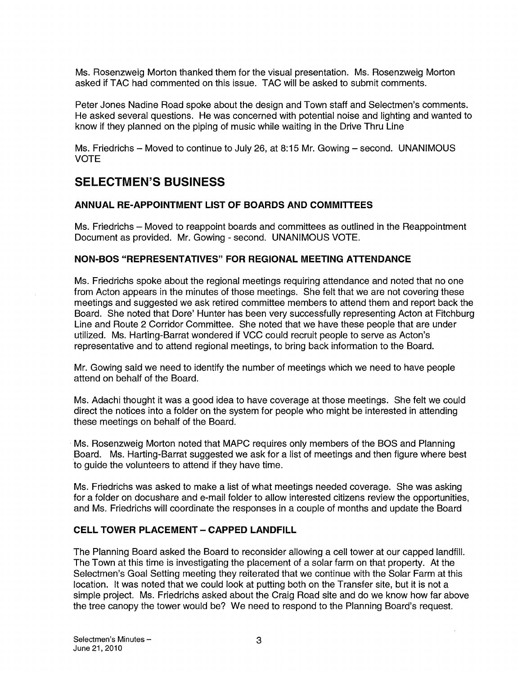Ms. Rosenzweig Morton thanked them for the visual presentation. Ms. Rosenzweig Morton asked if TAC had commented on this issue. TAC will be asked to submit comments.

Peter Jones Nadine Road spoke about the design and Town staff and Selectmen's comments. He asked several questions. He was concerned with potential noise and lighting and wanted to know if they planned on the piping of music while waiting in the Drive Thru Line

Ms. Friedrichs — Moved to continue to July 26, at 8:15 Mr. Gowing — second. UNANIMOUS VOTE

## SELECTMEN'S BUSINESS

#### ANNUAL RE-APPOINTMENT LIST OF BOARDS AND COMMITTEES

Ms. Friedrichs — Moved to reappoint boards and committees as outlined in the Reappointment Document as provided. Mr. Gowing - second. UNANIMOUS VOTE.

#### NON-BOS "REPRESENTATIVES" FOR REGIONAL MEETING ATTENDANCE

Ms. Friedrichs spoke about the regional meetings requiring attendance and noted that no one from Acton appears in the minutes of those meetings. She felt that we are not covering these meetings and suggested we ask retired committee members to attend them and report back the Board. She noted that Dore' Hunter has been very successfully representing Acton at Fitchburg Line and Route 2 Corridor Committee. She noted that we have these people that are under utilized. Ms. Harting-Barrat wondered if VCC could recruit people to serve as Acton's representative and to attend regional meetings, to bring back information to the Board.

Mr. Gowing said we need to identify the number of meetings which we need to have people attend on behalf of the Board.

Ms. Adachi thought it was a good idea to have coverage at those meetings. She felt we could direct the notices into a folder on the system for people who might be interested in attending these meetings on behalf of the Board.

Ms. Rosenzweig Morton noted that MAPC requires only members of the BOS and Planning Board. Ms. Harting-Barrat suggested we ask for a list of meetings and then figure where best to guide the volunteers to attend if they have time.

Ms. Friedrichs was asked to make a list of what meetings needed coverage. She was asking for a folder on docushare and e-mail folder to allow interested citizens review the opportunities, and Ms. Friedrichs will coordinate the responses in a couple of months and update the Board

#### **CELL TOWER PLACEMENT - CAPPED LANDFILL**

The Planning Board asked the Board to reconsider allowing a cell tower at our capped landfill. The Town at this time is investigating the placement of a solar farm on that property. At the Selectmen's Goal Setting meeting they reiterated that we continue with the Solar Farm at this location. It was noted that we could look at putting both on the Transfer site, but it is not a simple project. Ms. Friedrichs asked about the Craig Road site and do we know how far above the tree canopy the tower would be? We need to respond to the Planning Board's request.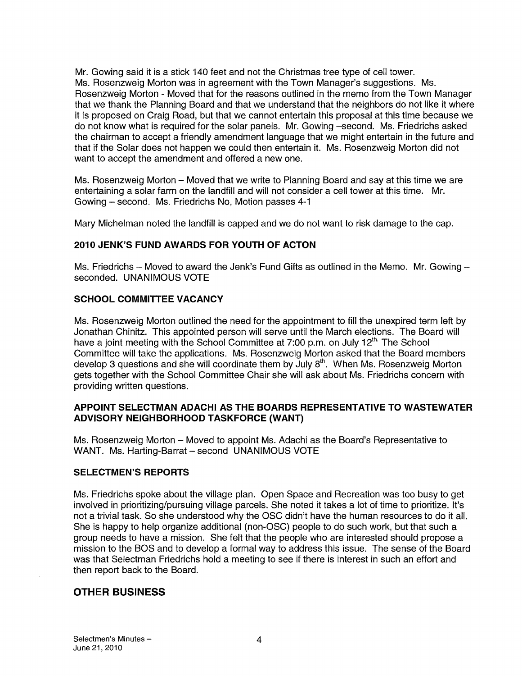Mr. Gowing said it is a stick 140 feet and not the Christmas tree type of cell tower. Ms. Rosenzweig Morton was in agreement with the Town Manager's suggestions. Ms. Rosenzweig Morton - Moved that for the reasons outlined in the memo from the Town Manager that we thank the Planning Board and that we understand that the neighbors do not like it where it is proposed on Craig Road, but that we cannot entertain this proposal at this time because we do not know what is required for the solar panels. Mr. Gowing —second. Ms. Friedrichs asked the chairman to accept a friendly amendment language that we might entertain in the future and that if the Solar does not happen we could then entertain it. Ms. Rosenzweig Morton did not want to accept the amendment and offered a new one.

Ms. Rosenzweig Morton — Moved that we write to Planning Board and say at this time we are entertaining a solar farm on the landfill and will not consider a cell tower at this time. Mr. Gowing — second. Ms. Friedrichs No, Motion passes 4-1

Mary Michelman noted the landfill is capped and we do not want to risk damage to the cap.

#### 2010 JENK'S FUND AWARDS FOR YOUTH OF ACTON

Ms. Friedrichs — Moved to award the Jenk's Fund Gifts as outlined in the Memo. Mr. Gowing seconded. UNANIMOUS VOTE

#### SCHOOL COMMITTEE VACANCY

Ms. Rosenzweig Morton outlined the need for the appointment to fill the unexpired term left by Jonathan Chinitz. This appointed person will serve until the March elections. The Board will have a joint meeting with the School Committee at 7:00 p.m. on July 12<sup>th.</sup> The School Committee will take the applications. Ms. Rosenzweig Morton asked that the Board members develop 3 questions and she will coordinate them by July 8<sup>th</sup>. When Ms. Rosenzweig Morton gets together with the School Committee Chair she will ask about Ms. Friedrichs concern with providing written questions.

#### APPOINT SELECTMAN ADACHI AS THE BOARDS REPRESENTATIVE TO WASTEWATER ADVISORY NEIGHBORHOOD TASKFORCE (WANT)

Ms. Rosenzweig Morton — Moved to appoint Ms. Adachi as the Board's Representative to WANT. Ms. Harting-Barrat — second UNANIMOUS VOTE

#### SELECTMEN'S REPORTS

Ms. Friedrichs spoke about the village plan. Open Space and Recreation was too busy to get involved in prioritizing/pursuing village parcels. She noted it takes a lot of time to prioritize. It's not a trivial task. So she understood why the OSC didn't have the human resources to do it all. She is happy to help organize additional (non-OSC) people to do such work, but that such a group needs to have a mission. She felt that the people who are interested should propose a mission to the BOS and to develop a formal way to address this issue. The sense of the Board was that Selectman Friedrichs hold a meeting to see if there is interest in such an effort and then report back to the Board.

#### OTHER BUSINESS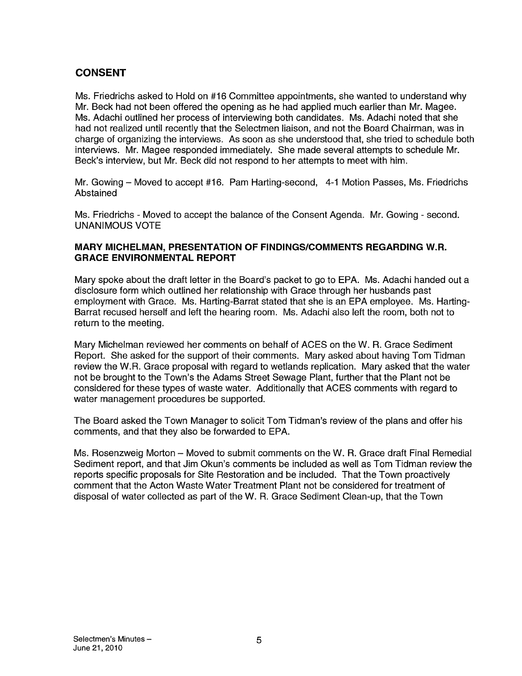### **CONSENT**

Ms. Friedrichs asked to Hold on #16 Committee appointments, she wanted to understand why Mr. Beck had not been offered the opening as he had applied much earlier than Mr. Magee. Ms. Adachi outlined her process of interviewing both candidates. Ms. Adachi noted that she had not realized until recently that the Selectmen liaison, and not the Board Chairman, was in charge of organizing the interviews. As soon as she understood that, she tried to schedule both interviews. Mr. Magee responded immediately. She made several attempts to schedule Mr. Beck's interview, but Mr. Beck did not respond to her attempts to meet with him.

Mr. Gowing — Moved to accept #16. Pam Harting-second, 4-1 Motion Passes, Ms. Friedrichs Abstained

Ms. Friedrichs - Moved to accept the balance of the Consent Agenda. Mr. Gowing - second. UNANIMOUS VOTE

#### MARY MICHELMAN, PRESENTATION OF FINDINGS/COMMENTS REGARDING W.R. GRACE ENVIRONMENTAL REPORT

Mary spoke about the draft letter in the Board's packet to go to EPA. Ms. Adachi handed out a disclosure form which outlined her relationship with Grace through her husbands past employment with Grace. Ms. Harting-Barrat stated that she is an EPA employee. Ms. Harting Barrat recused herself and left the hearing room. Ms. Adachi also left the room, both not to return to the meeting.

Mary Michelman reviewed her comments on behalf of ACES on the W. R. Grace Sediment Report. She asked for the support of their comments. Mary asked about having Tom Tidman review the W.R. Grace proposal with regard to wetlands replication. Mary asked that the water not be brought to the Town's the Adams Street Sewage Plant, further that the Plant not be considered for these types of waste water. Additionally that ACES comments with regard to water management procedures be supported.

The Board asked the Town Manager to solicit Tom Tidman's review of the plans and offer his comments, and that they also be forwarded to EPA.

Ms. Rosenzweig Morton — Moved to submit comments on the W. R. Grace draft Final Remedial Sediment report, and that Jim Okun's comments be included as well as Tom Tidman review the reports specific proposals for Site Restoration and be included. That the Town proactively comment that the Acton Waste Water Treatment Plant not be considered for treatment of disposal of water collected as part of the W. R. Grace Sediment Clean-up, that the Town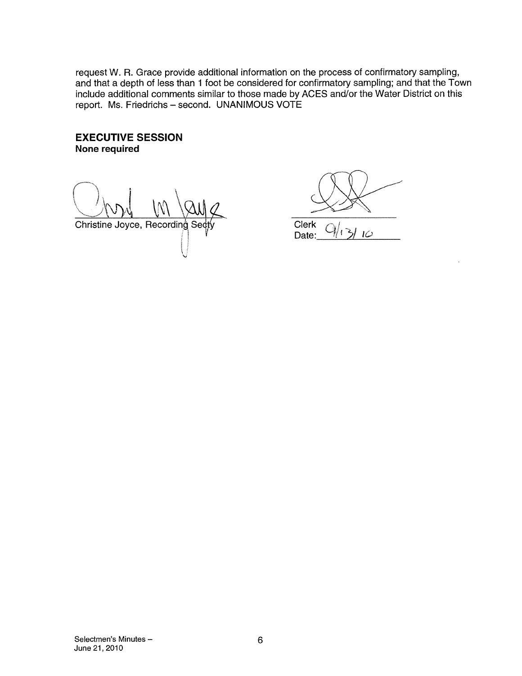request W. A. Grace provide additional information on the process of confirmatory sampling, and that a depth of less than <sup>1</sup> foot be considered for confirmatory sampling; and that the Town include additional comments similar to those made by ACES and/or the Water District on this report. Ms. Friedrichs — second. UNANIMOUS VOTE

#### EXECUTIVE SESSION None required

Christine Joyce, Recording Sec

Clerk<br>Date: Date: 1C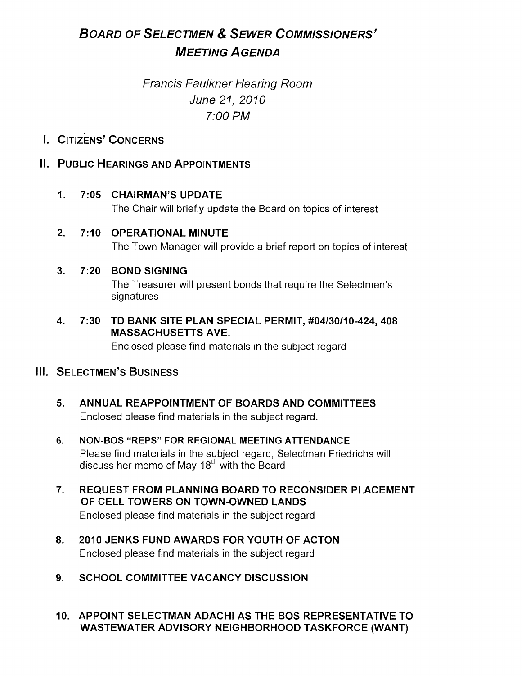# BOARD OF SELECTMEN & SEWER COMMISSIONERS' **MEETING AGENDA**

# Francis Faulkner Hearing Room June 21, 2010 7:00 PM

## I. CiTizENs' CONCERNS

## II. PUBLIC HEARINGS AND APPOINTMENTS

- 1. 7:05 CHAIRMAN'S UPDATE The Chair will briefly update the Board on topics of interest
- 2. 7:10 OPERATIONAL MINUTE The Town Manager will provide a brief report on topics of interest

#### 3. 7:20 BOND SIGNING

The Treasurer will present bonds that require the Selectmen's signatures

4. 7:30 TD BANK SITE PLAN SPECIAL PERMIT, #04/30110-424, 408 MASSACHUSETTS AVE. Enclosed please find materials in the subject regard

### III. SELECTMEN'S BUSINESS

- 5. ANNUAL REAPPOINTMENT OF BOARDS AND COMMITTEES Enclosed please find materials in the subject regard.
- 6. NON-BOS "REPS" FOR REGIONAL MEETING ATTENDANCE Please find materials in the subject regard, Selectman Friedrichs will discuss her memo of May 18<sup>th</sup> with the Board
- 7. REQUEST FROM PLANNING BOARD TO RECONSIDER PLACEMENT OF CELL TOWERS ON TOWN-OWNED LANDS Enclosed please find materials in the subject regard
- 8. 2010 JENKS FUND AWARDS FOR YOUTH OF ACTON Enclosed please find materials in the subject regard
- 9. SCHOOL COMMITTEE VACANCY DISCUSSION
- 10. APPOINT SELECTMAN ADACHI AS THE BOS REPRESENTATIVE TO WASTEWATER ADVISORY NEIGHBORHOOD TASKFORCE (WANT)